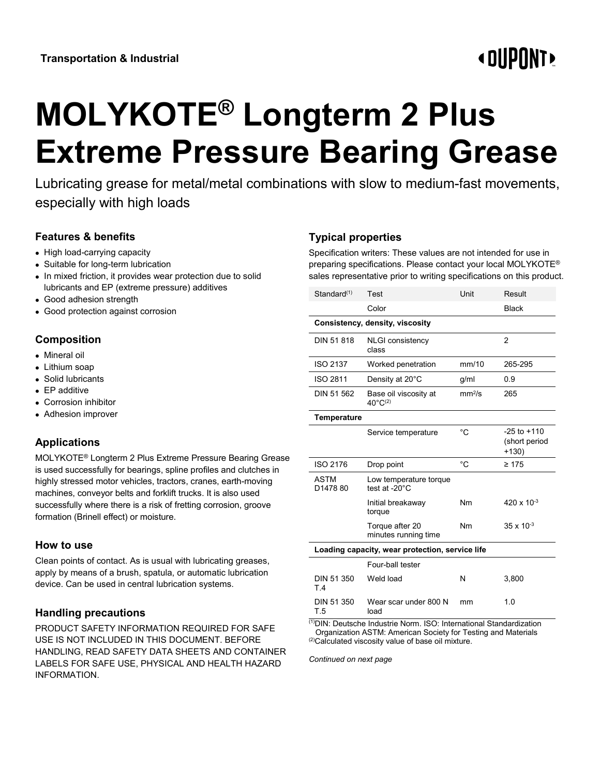# **«OUPONT»**

# **MOLYKOTE® Longterm 2 Plus Extreme Pressure Bearing Grease**

Lubricating grease for metal/metal combinations with slow to medium-fast movements, especially with high loads

## **Features & benefits**

- High load-carrying capacity
- Suitable for long-term lubrication
- In mixed friction, it provides wear protection due to solid lubricants and EP (extreme pressure) additives
- Good adhesion strength
- Good protection against corrosion

#### **Composition**

- Mineral oil
- Lithium soap
- Solid lubricants
- EP additive
- Corrosion inhibitor
- Adhesion improver

# **Applications**

MOLYKOTE® Longterm 2 Plus Extreme Pressure Bearing Grease is used successfully for bearings, spline profiles and clutches in highly stressed motor vehicles, tractors, cranes, earth-moving machines, conveyor belts and forklift trucks. It is also used successfully where there is a risk of fretting corrosion, groove formation (Brinell effect) or moisture.

#### **How to use**

Clean points of contact. As is usual with lubricating greases, apply by means of a brush, spatula, or automatic lubrication device. Can be used in central lubrication systems.

### **Handling precautions**

PRODUCT SAFETY INFORMATION REQUIRED FOR SAFE USE IS NOT INCLUDED IN THIS DOCUMENT. BEFORE HANDLING, READ SAFETY DATA SHEETS AND CONTAINER LABELS FOR SAFE USE, PHYSICAL AND HEALTH HAZARD INFORMATION.

# **Typical properties**

Specification writers: These values are not intended for use in preparing specifications. Please contact your local MOLYKOTE® sales representative prior to writing specifications on this product.

| Standard <sup>(1)</sup>             | <b>Test</b>                                            | Unit               | Result                                      |
|-------------------------------------|--------------------------------------------------------|--------------------|---------------------------------------------|
|                                     | Color                                                  |                    | <b>Black</b>                                |
|                                     | Consistency, density, viscosity                        |                    |                                             |
| DIN 51 818                          | <b>NLGI consistency</b><br>class                       |                    | $\overline{2}$                              |
| <b>ISO 2137</b>                     | Worked penetration                                     | mm/10              | 265-295                                     |
| ISO 2811                            | Density at 20°C                                        | g/ml               | 0.9                                         |
| DIN 51 562                          | Base oil viscosity at<br>$40^{\circ}$ C <sup>(2)</sup> | mm <sup>2</sup> /s | 265                                         |
| Temperature                         |                                                        |                    |                                             |
|                                     | Service temperature                                    | °C                 | $-25$ to $+110$<br>(short period<br>$+130)$ |
| ISO 2176                            | Drop point                                             | °C                 | $\geq 175$                                  |
| <b>ASTM</b><br>D <sub>1478</sub> 80 | Low temperature torque<br>test at -20°C                |                    |                                             |
|                                     | Initial breakaway<br>torque                            | <b>Nm</b>          | $420 \times 10^{-3}$                        |
|                                     | Torque after 20<br>minutes running time                | <b>Nm</b>          | $35 \times 10^{-3}$                         |
|                                     | Loading capacity, wear protection, service life        |                    |                                             |
|                                     | Four-ball tester                                       |                    |                                             |
| DIN 51 350<br>T.4                   | Weld load                                              | N                  | 3,800                                       |
| DIN 51 350<br>T.5                   | Wear scar under 800 N<br>load                          | mm                 | 1.0                                         |

(1)DIN: Deutsche Industrie Norm. ISO: International Standardization Organization ASTM: American Society for Testing and Materials (2)Calculated viscosity value of base oil mixture.

*Continued on next page*